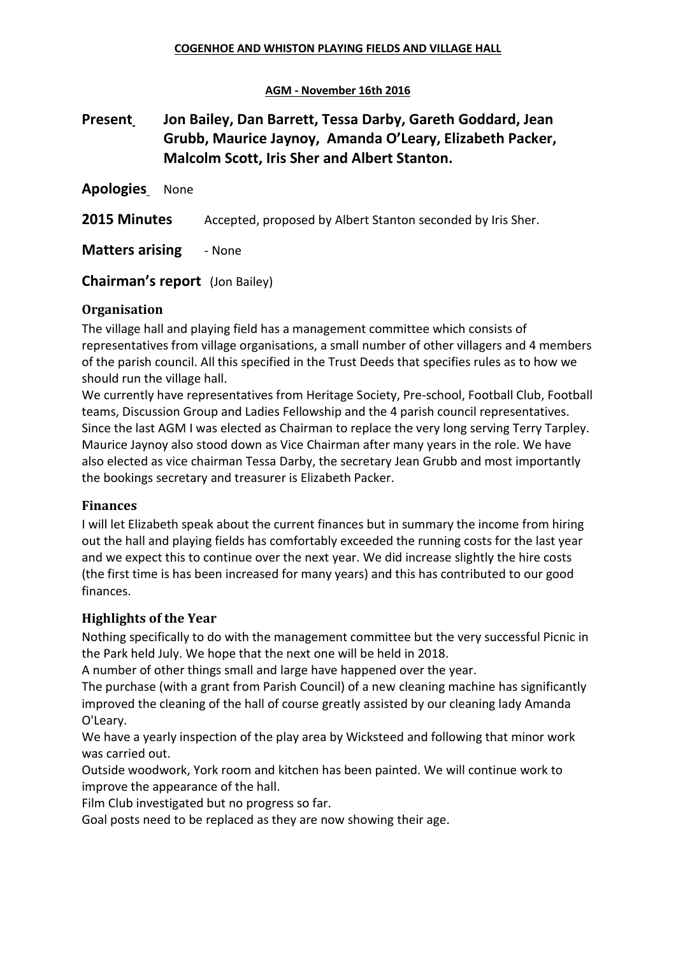#### **AGM - November 16th 2016**

# **Present Jon Bailey, Dan Barrett, Tessa Darby, Gareth Goddard, Jean Grubb, Maurice Jaynoy, Amanda O'Leary, Elizabeth Packer, Malcolm Scott, Iris Sher and Albert Stanton.**

**Apologies** None

**2015 Minutes** Accepted, proposed by Albert Stanton seconded by Iris Sher.

**Matters arising - None** 

**Chairman's report** (Jon Bailey)

#### **Organisation**

The village hall and playing field has a management committee which consists of representatives from village organisations, a small number of other villagers and 4 members of the parish council. All this specified in the Trust Deeds that specifies rules as to how we should run the village hall.

We currently have representatives from Heritage Society, Pre-school, Football Club, Football teams, Discussion Group and Ladies Fellowship and the 4 parish council representatives. Since the last AGM I was elected as Chairman to replace the very long serving Terry Tarpley. Maurice Jaynoy also stood down as Vice Chairman after many years in the role. We have also elected as vice chairman Tessa Darby, the secretary Jean Grubb and most importantly the bookings secretary and treasurer is Elizabeth Packer.

#### **Finances**

I will let Elizabeth speak about the current finances but in summary the income from hiring out the hall and playing fields has comfortably exceeded the running costs for the last year and we expect this to continue over the next year. We did increase slightly the hire costs (the first time is has been increased for many years) and this has contributed to our good finances.

#### **Highlights of the Year**

Nothing specifically to do with the management committee but the very successful Picnic in the Park held July. We hope that the next one will be held in 2018.

A number of other things small and large have happened over the year.

The purchase (with a grant from Parish Council) of a new cleaning machine has significantly improved the cleaning of the hall of course greatly assisted by our cleaning lady Amanda O'Leary.

We have a yearly inspection of the play area by Wicksteed and following that minor work was carried out.

Outside woodwork, York room and kitchen has been painted. We will continue work to improve the appearance of the hall.

Film Club investigated but no progress so far.

Goal posts need to be replaced as they are now showing their age.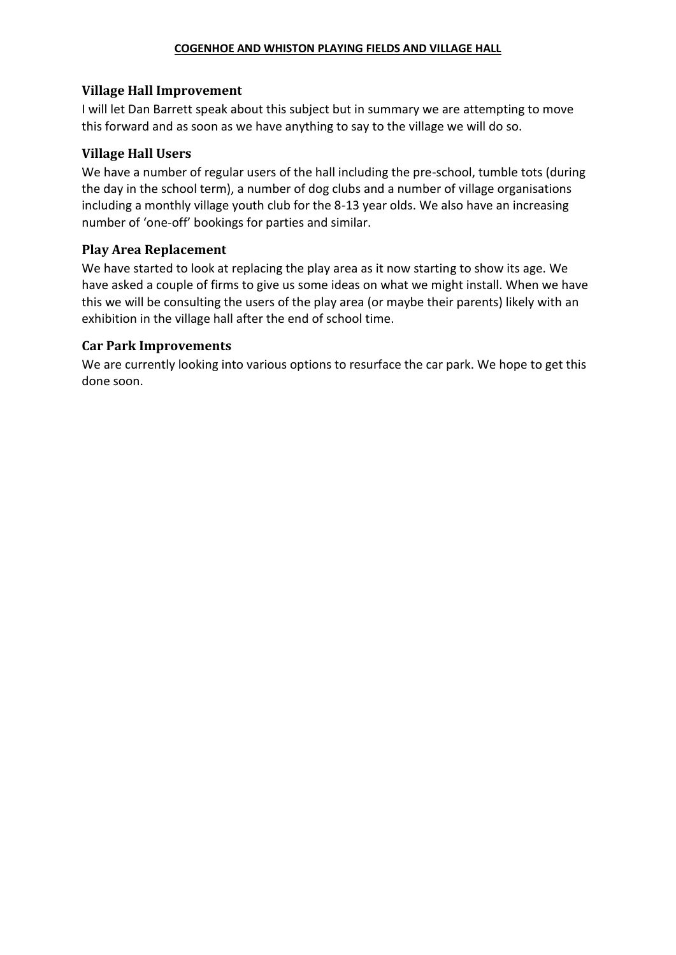#### **COGENHOE AND WHISTON PLAYING FIELDS AND VILLAGE HALL**

### **Village Hall Improvement**

I will let Dan Barrett speak about this subject but in summary we are attempting to move this forward and as soon as we have anything to say to the village we will do so.

### **Village Hall Users**

We have a number of regular users of the hall including the pre-school, tumble tots (during the day in the school term), a number of dog clubs and a number of village organisations including a monthly village youth club for the 8-13 year olds. We also have an increasing number of 'one-off' bookings for parties and similar.

### **Play Area Replacement**

We have started to look at replacing the play area as it now starting to show its age. We have asked a couple of firms to give us some ideas on what we might install. When we have this we will be consulting the users of the play area (or maybe their parents) likely with an exhibition in the village hall after the end of school time.

### **Car Park Improvements**

We are currently looking into various options to resurface the car park. We hope to get this done soon.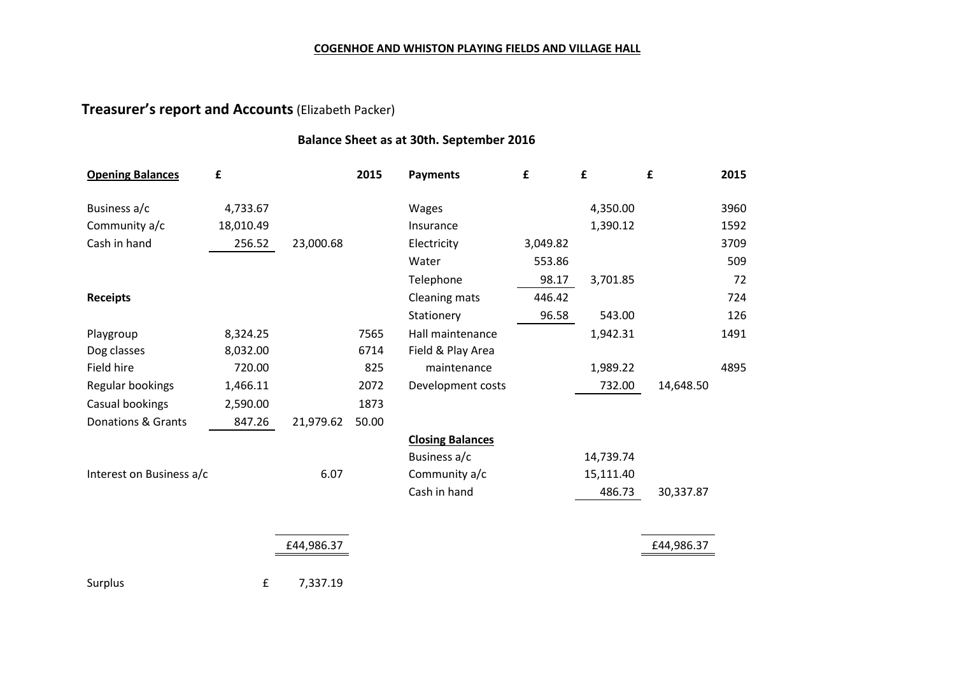#### **COGENHOE AND WHISTON PLAYING FIELDS AND VILLAGE HALL**

# **Treasurer's report and Accounts**(Elizabeth Packer)

#### **Balance Sheet as at 30th. September 2016**

| <b>Opening Balances</b>  | £         |            | 2015  | <b>Payments</b>         | £        | £         | £          | 2015 |
|--------------------------|-----------|------------|-------|-------------------------|----------|-----------|------------|------|
| Business a/c             | 4,733.67  |            |       | Wages                   |          | 4,350.00  |            | 3960 |
| Community a/c            | 18,010.49 |            |       | Insurance               |          | 1,390.12  |            | 1592 |
| Cash in hand             | 256.52    | 23,000.68  |       | Electricity             | 3,049.82 |           |            | 3709 |
|                          |           |            |       | Water                   | 553.86   |           |            | 509  |
|                          |           |            |       | Telephone               | 98.17    | 3,701.85  |            | 72   |
| <b>Receipts</b>          |           |            |       | Cleaning mats           | 446.42   |           |            | 724  |
|                          |           |            |       | Stationery              | 96.58    | 543.00    |            | 126  |
| Playgroup                | 8,324.25  |            | 7565  | Hall maintenance        |          | 1,942.31  |            | 1491 |
| Dog classes              | 8,032.00  |            | 6714  | Field & Play Area       |          |           |            |      |
| Field hire               | 720.00    |            | 825   | maintenance             |          | 1,989.22  |            | 4895 |
| Regular bookings         | 1,466.11  |            | 2072  | Development costs       |          | 732.00    | 14,648.50  |      |
| Casual bookings          | 2,590.00  |            | 1873  |                         |          |           |            |      |
| Donations & Grants       | 847.26    | 21,979.62  | 50.00 |                         |          |           |            |      |
|                          |           |            |       | <b>Closing Balances</b> |          |           |            |      |
|                          |           |            |       | Business a/c            |          | 14,739.74 |            |      |
| Interest on Business a/c |           | 6.07       |       | Community a/c           |          | 15,111.40 |            |      |
|                          |           |            |       | Cash in hand            |          | 486.73    | 30,337.87  |      |
|                          |           |            |       |                         |          |           |            |      |
|                          |           | £44,986.37 |       |                         |          |           | £44,986.37 |      |
| Surplus                  | £         | 7,337.19   |       |                         |          |           |            |      |